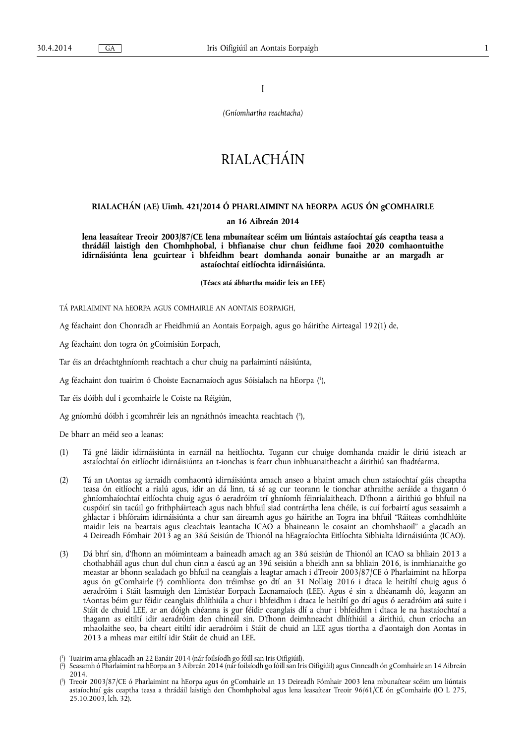I

*(Gníomhartha reachtacha)* 

# RIALACHÁIN

# **RIALACHÁN (AE) Uimh. 421/2014 Ó PHARLAIMINT NA hEORPA AGUS ÓN gCOMHAIRLE**

## **an 16 Aibreán 2014**

**lena leasaítear Treoir 2003/87/CE lena mbunaítear scéim um liúntais astaíochtaí gás ceaptha teasa a thrádáil laistigh den Chomhphobal, i bhfianaise chur chun feidhme faoi 2020 comhaontuithe idirnáisiúnta lena gcuirtear i bhfeidhm beart domhanda aonair bunaithe ar an margadh ar astaíochtaí eitlíochta idirnáisiúnta.** 

**(Téacs atá ábhartha maidir leis an LEE)** 

TÁ PARLAIMINT NA hEORPA AGUS COMHAIRLE AN AONTAIS EORPAIGH,

Ag féachaint don Chonradh ar Fheidhmiú an Aontais Eorpaigh, agus go háirithe Airteagal 192(1) de,

Ag féachaint don togra ón gCoimisiún Eorpach,

Tar éis an dréachtghníomh reachtach a chur chuig na parlaimintí náisiúnta,

Ag féachaint don tuairim ó Choiste Eacnamaíoch agus Sóisialach na hEorpa ( 1 ),

Tar éis dóibh dul i gcomhairle le Coiste na Réigiún,

Ag gníomhú dóibh i gcomhréir leis an ngnáthnós imeachta reachtach ( 2 ),

De bharr an méid seo a leanas:

- (1) Tá gné láidir idirnáisiúnta in earnáil na heitlíochta. Tugann cur chuige domhanda maidir le díriú isteach ar astaíochtaí ón eitlíocht idirnáisiúnta an t-ionchas is fearr chun inbhuanaitheacht a áirithiú san fhadtéarma.
- (2) Tá an tAontas ag iarraidh comhaontú idirnáisiúnta amach anseo a bhaint amach chun astaíochtaí gáis cheaptha teasa ón eitlíocht a rialú agus, idir an dá linn, tá sé ag cur teorann le tionchar athraithe aeráide a thagann ó ghníomhaíochtaí eitlíochta chuig agus ó aeradróim trí ghníomh féinrialaitheach. D'fhonn a áirithiú go bhfuil na cuspóirí sin tacúil go frithpháirteach agus nach bhfuil siad contrártha lena chéile, is cuí forbairtí agus seasaimh a ghlactar i bhfóraim idirnáisiúnta a chur san áireamh agus go háirithe an Togra ina bhfuil "Ráiteas comhdhlúite maidir leis na beartais agus cleachtais leantacha ICAO a bhaineann le cosaint an chomhshaoil" a glacadh an 4 Deireadh Fómhair 2013 ag an 38ú Seisiún de Thionól na hEagraíochta Eitlíochta Sibhialta Idirnáisiúnta (ICAO).
- (3) Dá bhrí sin, d'fhonn an móiminteam a baineadh amach ag an 38ú seisiún de Thionól an ICAO sa bhliain 2013 a chothabháil agus chun dul chun cinn a éascú ag an 39ú seisiún a bheidh ann sa bhliain 2016, is inmhianaithe go meastar ar bhonn sealadach go bhfuil na ceanglais a leagtar amach i dTreoir 2003/87/CE ó Pharlaimint na hEorpa agus ón gComhairle ( 3 ) comhlíonta don tréimhse go dtí an 31 Nollaig 2016 i dtaca le heitiltí chuig agus ó aeradróim i Stáit lasmuigh den Limistéar Eorpach Eacnamaíoch (LEE). Agus é sin a dhéanamh dó, leagann an tAontas béim gur féidir ceanglais dhlíthiúla a chur i bhfeidhm i dtaca le heitiltí go dtí agus ó aeradróim atá suite i Stáit de chuid LEE, ar an dóigh chéanna is gur féidir ceanglais dlí a chur i bhfeidhm i dtaca le na hastaíochtaí a thagann as eitiltí idir aeradróim den chineál sin. D'fhonn deimhneacht dhlíthiúil a áirithiú, chun críocha an mhaolaithe seo, ba cheart eitiltí idir aeradróim i Stáit de chuid an LEE agus tíortha a d'aontaigh don Aontas in 2013 a mheas mar eitiltí idir Stáit de chuid an LEE.

<sup>(</sup> 1 ) Tuairim arna ghlacadh an 22 Eanáir 2014 (nár foilsíodh go fóill san Iris Oifigiúil).

 $(2)$ ) Seasamh ó Pharlaimint na hEorpa an 3 Aibreán 2014 (nár foilsíodh go fóill san Iris Oifigiúil) agus Cinneadh ón gComhairle an 14 Aibreán 2014.

<sup>(</sup> 3 ) Treoir 2003/87/CE ó Pharlaimint na hEorpa agus ón gComhairle an 13 Deireadh Fómhair 2003 lena mbunaítear scéim um liúntais astaíochtaí gás ceaptha teasa a thrádáil laistigh den Chomhphobal agus lena leasaítear Treoir 96/61/CE ón gComhairle (IO L 275, 25.10.2003, lch. 32).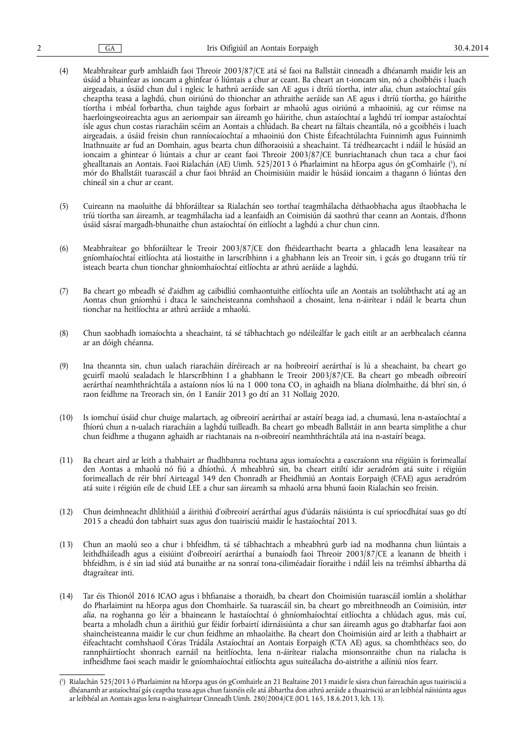- (4) Meabhraítear gurb amhlaidh faoi Threoir 2003/87/CE atá sé faoi na Ballstáit cinneadh a dhéanamh maidir leis an úsáid a bhainfear as ioncam a ghinfear ó liúntais a chur ar ceant. Ba cheart an t-ioncam sin, nó a choibhéis i luach airgeadais, a úsáid chun dul i ngleic le hathrú aeráide san AE agus i dtríú tíortha, *inter alia*, chun astaíochtaí gáis cheaptha teasa a laghdú, chun oiriúnú do thionchar an athraithe aeráide san AE agus i dtríú tíortha, go háirithe tíortha i mbéal forbartha, chun taighde agus forbairt ar mhaolú agus oiriúnú a mhaoiniú, ag cur réimse na haerloingseoireachta agus an aeriompair san áireamh go háirithe, chun astaíochtaí a laghdú trí iompar astaíochtaí ísle agus chun costas riaracháin scéim an Aontais a chlúdach. Ba cheart na fáltais cheantála, nó a gcoibhéis i luach airgeadais, a úsáid freisin chun ranníocaíochtaí a mhaoiniú don Chiste Éifeachtúlachta Fuinnimh agus Fuinnimh Inathnuaite ar fud an Domhain, agus bearta chun dífhoraoisiú a sheachaint. Tá trédhearcacht i ndáil le húsáid an ioncaim a ghintear ó liúntais a chur ar ceant faoi Threoir 2003/87/CE bunriachtanach chun taca a chur faoi ghealltanais an Aontais. Faoi Rialachán (AE) Uimh. 525/2013 ó Pharlaimint na hEorpa agus ón gComhairle ('), ní mór do Bhallstáit tuarascáil a chur faoi bhráid an Choimisiúin maidir le húsáid ioncaim a thagann ó liúntas den chineál sin a chur ar ceant.
- (5) Cuireann na maoluithe dá bhforáiltear sa Rialachán seo torthaí teagmhálacha déthaobhacha agus iltaobhacha le tríú tíortha san áireamh, ar teagmhálacha iad a leanfaidh an Coimisiún dá saothrú thar ceann an Aontais, d'fhonn úsáid sásraí margadh-bhunaithe chun astaíochtaí ón eitlíocht a laghdú a chur chun cinn.
- (6) Meabhraítear go bhforáiltear le Treoir 2003/87/CE don fhéidearthacht bearta a ghlacadh lena leasaítear na gníomhaíochtaí eitlíochta atá liostaithe in Iarscríbhinn i a ghabhann leis an Treoir sin, i gcás go dtugann tríú tír isteach bearta chun tionchar ghníomhaíochtaí eitlíochta ar athrú aeráide a laghdú.
- (7) Ba cheart go mbeadh sé d'aidhm ag caibidliú comhaontuithe eitlíochta uile an Aontais an tsolúbthacht atá ag an Aontas chun gníomhú i dtaca le saincheisteanna comhshaoil a chosaint, lena n-áirítear i ndáil le bearta chun tionchar na heitlíochta ar athrú aeráide a mhaolú.
- (8) Chun saobhadh iomaíochta a sheachaint, tá sé tábhachtach go ndéileálfar le gach eitilt ar an aerbhealach céanna ar an dóigh chéanna.
- (9) Ina theannta sin, chun ualach riaracháin díréireach ar na hoibreoirí aerárthaí is lú a sheachaint, ba cheart go gcuirfí maolú sealadach le hIarscríbhinn I a ghabhann le Treoir 2003/87/CE. Ba cheart go mbeadh oibreoirí aerárthaí neamhthráchtála a astaíonn níos lú na 1 000 tona CO<sub>2</sub> in aghaidh na bliana díolmhaithe, dá bhrí sin, ó raon feidhme na Treorach sin, ón 1 Eanáir 2013 go dtí an 31 Nollaig 2020.
- (10) Is iomchuí úsáid chur chuige malartach, ag oibreoirí aerárthaí ar astaírí beaga iad, a chumasú, lena n-astaíochtaí a fhíorú chun a n-ualach riaracháin a laghdú tuilleadh. Ba cheart go mbeadh Ballstáit in ann bearta simplithe a chur chun feidhme a thugann aghaidh ar riachtanais na n-oibreoirí neamhthráchtála atá ina n-astaírí beaga.
- (11) Ba cheart aird ar leith a thabhairt ar fhadhbanna rochtana agus iomaíochta a eascraíonn sna réigiúin is forimeallaí den Aontas a mhaolú nó fiú a dhíothú. Á mheabhrú sin, ba cheart eitiltí idir aeradróm atá suite i réigiún forimeallach de réir bhrí Airteagal 349 den Chonradh ar Fheidhmiú an Aontais Eorpaigh (CFAE) agus aeradróm atá suite i réigiún eile de chuid LEE a chur san áireamh sa mhaolú arna bhunú faoin Rialachán seo freisin.
- (12) Chun deimhneacht dhlíthiúil a áirithiú d'oibreoirí aerárthaí agus d'údaráis náisiúnta is cuí spriocdhátaí suas go dtí 2015 a cheadú don tabhairt suas agus don tuairisciú maidir le hastaíochtaí 2013.
- (13) Chun an maolú seo a chur i bhfeidhm, tá sé tábhachtach a mheabhrú gurb iad na modhanna chun liúntais a leithdháileadh agus a eisiúint d'oibreoirí aerárthaí a bunaíodh faoi Threoir 2003/87/CE a leanann de bheith i bhfeidhm, is é sin iad siúd atá bunaithe ar na sonraí tona-ciliméadair fíoraithe i ndáil leis na tréimhsí ábhartha dá dtagraítear inti.
- (14) Tar éis Thionól 2016 ICAO agus i bhfianaise a thoraidh, ba cheart don Choimisiún tuarascáil iomlán a sholáthar do Pharlaimint na hEorpa agus don Chomhairle. Sa tuarascáil sin, ba cheart go mbreithneodh an Coimisiún, *inter alia*, na roghanna go léir a bhaineann le hastaíochtaí ó ghníomhaíochtaí eitlíochta a chlúdach agus, más cuí, bearta a mholadh chun a áirithiú gur féidir forbairtí idirnáisiúnta a chur san áireamh agus go dtabharfar faoi aon shaincheisteanna maidir le cur chun feidhme an mhaolaithe. Ba cheart don Choimisiún aird ar leith a thabhairt ar éifeachtacht comhshaoil Córas Trádála Astaíochtaí an Aontais Eorpaigh (CTA AE) agus, sa chomhthéacs seo, do rannpháirtíocht shonrach earnáil na heitlíochta, lena n-áirítear rialacha mionsonraithe chun na rialacha is infheidhme faoi seach maidir le gníomhaíochtaí eitlíochta agus suiteálacha do-aistrithe a ailíniú níos fearr.

<sup>(</sup> 1 ) Rialachán 525/2013 ó Pharlaimint na hEorpa agus ón gComhairle an 21 Bealtaine 2013 maidir le sásra chun faireachán agus tuairisciú a dhéanamh ar astaíochtaí gás ceaptha teasa agus chun faisnéis eile atá ábhartha don athrú aeráide a thuairisciú ar an leibhéal náisiúnta agus ar leibhéal an Aontais agus lena n‑aisghairtear Cinneadh Uimh. 280/2004/CE (IO L 165, 18.6.2013, lch. 13).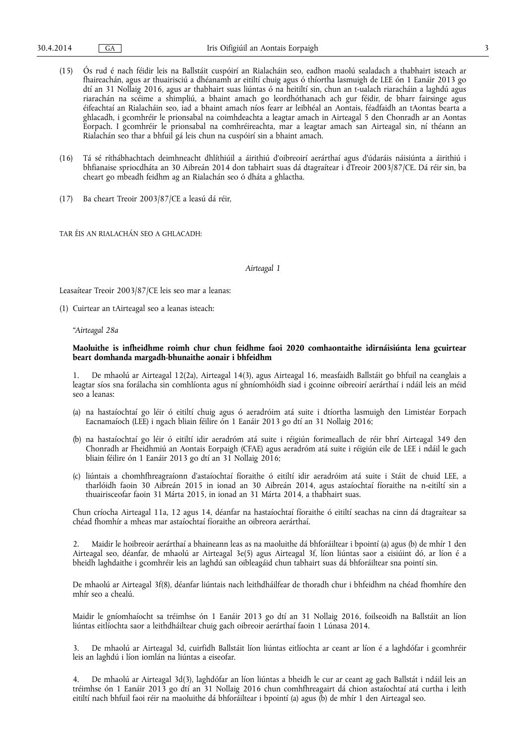- (15) Ós rud é nach féidir leis na Ballstáit cuspóirí an Rialacháin seo, eadhon maolú sealadach a thabhairt isteach ar fhaireachán, agus ar thuairisciú a dhéanamh ar eitiltí chuig agus ó thíortha lasmuigh de LEE ón 1 Eanáir 2013 go dtí an 31 Nollaig 2016, agus ar thabhairt suas liúntas ó na heitiltí sin, chun an t-ualach riaracháin a laghdú agus riarachán na scéime a shimpliú, a bhaint amach go leordhóthanach ach gur féidir, de bharr fairsinge agus éifeachtaí an Rialacháin seo, iad a bhaint amach níos fearr ar leibhéal an Aontais, féadfaidh an tAontas bearta a ghlacadh, i gcomhréir le prionsabal na coimhdeachta a leagtar amach in Airteagal 5 den Chonradh ar an Aontas Eorpach. I gcomhréir le prionsabal na comhréireachta, mar a leagtar amach san Airteagal sin, ní théann an Rialachán seo thar a bhfuil gá leis chun na cuspóirí sin a bhaint amach.
- (16) Tá sé ríthábhachtach deimhneacht dhlíthiúil a áirithiú d'oibreoirí aerárthaí agus d'údaráis náisiúnta a áirithiú i bhfianaise spriocdháta an 30 Aibreán 2014 don tabhairt suas dá dtagraítear i dTreoir 2003/87/CE. Dá réir sin, ba cheart go mbeadh feidhm ag an Rialachán seo ó dháta a ghlactha.
- (17) Ba cheart Treoir 2003/87/CE a leasú dá réir,

TAR ÉIS AN RIALACHÁN SEO A GHLACADH:

#### *Airteagal 1*

Leasaítear Treoir 2003/87/CE leis seo mar a leanas:

(1) Cuirtear an tAirteagal seo a leanas isteach:

#### *"Airteagal 28a*

### **Maoluithe is infheidhme roimh chur chun feidhme faoi 2020 comhaontaithe idirnáisiúnta lena gcuirtear beart domhanda margadh-bhunaithe aonair i bhfeidhm**

1. De mhaolú ar Airteagal 12(2a), Airteagal 14(3), agus Airteagal 16, measfaidh Ballstáit go bhfuil na ceanglais a leagtar síos sna forálacha sin comhlíonta agus ní ghníomhóidh siad i gcoinne oibreoirí aerárthaí i ndáil leis an méid seo a leanas:

- (a) na hastaíochtaí go léir ó eitiltí chuig agus ó aeradróim atá suite i dtíortha lasmuigh den Limistéar Eorpach Eacnamaíoch (LEE) i ngach bliain féilire ón 1 Eanáir 2013 go dtí an 31 Nollaig 2016;
- (b) na hastaíochtaí go léir ó eitiltí idir aeradróm atá suite i réigiún forimeallach de réir bhrí Airteagal 349 den Chonradh ar Fheidhmiú an Aontais Eorpaigh (CFAE) agus aeradróm atá suite i réigiún eile de LEE i ndáil le gach bliain féilire ón 1 Eanáir 2013 go dtí an 31 Nollaig 2016;
- (c) liúntais a chomhfhreagraíonn d'astaíochtaí fíoraithe ó eitiltí idir aeradróim atá suite i Stáit de chuid LEE, a tharlóidh faoin 30 Aibreán 2015 in ionad an 30 Aibreán 2014, agus astaíochtaí fíoraithe na n-eitiltí sin a thuairisceofar faoin 31 Márta 2015, in ionad an 31 Márta 2014, a thabhairt suas.

Chun críocha Airteagal 11a, 12 agus 14, déanfar na hastaíochtaí fíoraithe ó eitiltí seachas na cinn dá dtagraítear sa chéad fhomhír a mheas mar astaíochtaí fíoraithe an oibreora aerárthaí.

2. Maidir le hoibreoir aerárthaí a bhaineann leas as na maoluithe dá bhforáiltear i bpointí (a) agus (b) de mhír 1 den Airteagal seo, déanfar, de mhaolú ar Airteagal 3e(5) agus Airteagal 3f, líon liúntas saor a eisiúint dó, ar líon é a bheidh laghdaithe i gcomhréir leis an laghdú san oibleagáid chun tabhairt suas dá bhforáiltear sna pointí sin.

De mhaolú ar Airteagal 3f(8), déanfar liúntais nach leithdháilfear de thoradh chur i bhfeidhm na chéad fhomhíre den mhír seo a chealú.

Maidir le gníomhaíocht sa tréimhse ón 1 Eanáir 2013 go dtí an 31 Nollaig 2016, foilseoidh na Ballstáit an líon liúntas eitlíochta saor a leithdháiltear chuig gach oibreoir aerárthaí faoin 1 Lúnasa 2014.

3. De mhaolú ar Airteagal 3d, cuirfidh Ballstáit líon liúntas eitlíochta ar ceant ar líon é a laghdófar i gcomhréir leis an laghdú i líon iomlán na liúntas a eiseofar.

4. De mhaolú ar Airteagal 3d(3), laghdófar an líon liúntas a bheidh le cur ar ceant ag gach Ballstát i ndáil leis an tréimhse ón 1 Eanáir 2013 go dtí an 31 Nollaig 2016 chun comhfhreagairt dá chion astaíochtaí atá curtha i leith eitiltí nach bhfuil faoi réir na maoluithe dá bhforáiltear i bpointí (a) agus (b) de mhír 1 den Airteagal seo.